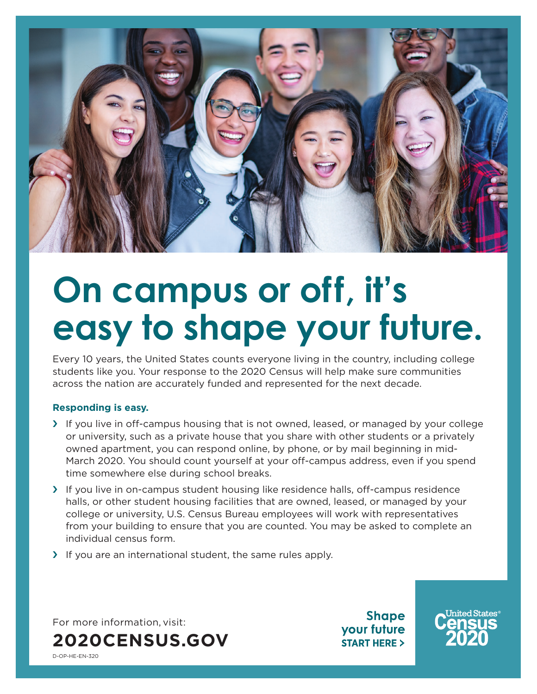

## **On campus or off, it's easy to shape your future.**

Every 10 years, the United States counts everyone living in the country, including college students like you. Your response to the 2020 Census will help make sure communities across the nation are accurately funded and represented for the next decade.

## **Responding is easy.**

- › If you live in off-campus housing that is not owned, leased, or managed by your college or university, such as a private house that you share with other students or a privately owned apartment, you can respond online, by phone, or by mail beginning in mid-March 2020. You should count yourself at your off-campus address, even if you spend time somewhere else during school breaks.
- › If you live in on-campus student housing like residence halls, off-campus residence halls, or other student housing facilities that are owned, leased, or managed by your college or university, U.S. Census Bureau employees will work with representatives from your building to ensure that you are counted. You may be asked to complete an individual census form.
- › If you are an international student, the same rules apply.

For more information, visit: **[2020CENSUS.GOV](http://2020Census.Gov)**

**Shape** your future **START HERE >** 



D-OP-HE-EN-320